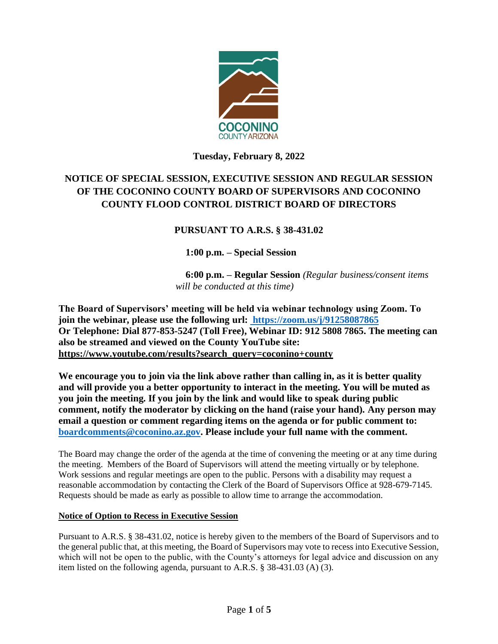

### **Tuesday, February 8, 2022**

# **NOTICE OF SPECIAL SESSION, EXECUTIVE SESSION AND REGULAR SESSION OF THE COCONINO COUNTY BOARD OF SUPERVISORS AND COCONINO COUNTY FLOOD CONTROL DISTRICT BOARD OF DIRECTORS**

## **PURSUANT TO A.R.S. § 38-431.02**

 **1:00 p.m. – Special Session**

 **6:00 p.m. – Regular Session** *(Regular business/consent items will be conducted at this time)*

**The Board of Supervisors' meeting will be held via webinar technology using Zoom. To join the webinar, please use the following url: https://zoom.us/j/91258087865 Or Telephone: Dial 877-853-5247 (Toll Free), Webinar ID: 912 5808 7865. The meeting can also be streamed and viewed on the County YouTube site: [https://www.youtube.com/results?search\\_query=coconino+county](https://www.youtube.com/results?search_query=coconino+county)**

**We encourage you to join via the link above rather than calling in, as it is better quality and will provide you a better opportunity to interact in the meeting. You will be muted as you join the meeting. If you join by the link and would like to speak during public comment, notify the moderator by clicking on the hand (raise your hand). Any person may email a question or comment regarding items on the agenda or for public comment to: [boardcomments@coconino.az.gov.](mailto:boardcomments@coconino.az.gov) Please include your full name with the comment.** 

The Board may change the order of the agenda at the time of convening the meeting or at any time during the meeting. Members of the Board of Supervisors will attend the meeting virtually or by telephone. Work sessions and regular meetings are open to the public. Persons with a disability may request a reasonable accommodation by contacting the Clerk of the Board of Supervisors Office at 928-679-7145. Requests should be made as early as possible to allow time to arrange the accommodation.

#### **Notice of Option to Recess in Executive Session**

Pursuant to A.R.S. § 38-431.02, notice is hereby given to the members of the Board of Supervisors and to the general public that, at this meeting, the Board of Supervisors may vote to recess into Executive Session, which will not be open to the public, with the County's attorneys for legal advice and discussion on any item listed on the following agenda, pursuant to A.R.S. § 38-431.03 (A) (3).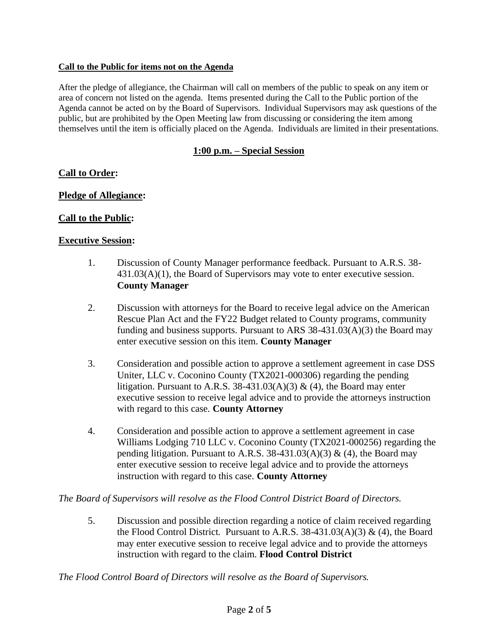#### **Call to the Public for items not on the Agenda**

After the pledge of allegiance, the Chairman will call on members of the public to speak on any item or area of concern not listed on the agenda. Items presented during the Call to the Public portion of the Agenda cannot be acted on by the Board of Supervisors. Individual Supervisors may ask questions of the public, but are prohibited by the Open Meeting law from discussing or considering the item among themselves until the item is officially placed on the Agenda. Individuals are limited in their presentations.

### **1:00 p.m. – Special Session**

### **Call to Order:**

### **Pledge of Allegiance:**

### **Call to the Public:**

#### **Executive Session:**

- 1. Discussion of County Manager performance feedback. Pursuant to A.R.S. 38- 431.03(A)(1), the Board of Supervisors may vote to enter executive session. **County Manager**
- 2. Discussion with attorneys for the Board to receive legal advice on the American Rescue Plan Act and the FY22 Budget related to County programs, community funding and business supports. Pursuant to ARS  $38-431.03(A)(3)$  the Board may enter executive session on this item. **County Manager**
- 3. Consideration and possible action to approve a settlement agreement in case DSS Uniter, LLC v. Coconino County (TX2021-000306) regarding the pending litigation. Pursuant to A.R.S. 38-431.03(A)(3) & (4), the Board may enter executive session to receive legal advice and to provide the attorneys instruction with regard to this case. **County Attorney**
- 4. Consideration and possible action to approve a settlement agreement in case Williams Lodging 710 LLC v. Coconino County (TX2021-000256) regarding the pending litigation. Pursuant to A.R.S. 38-431.03(A)(3) & (4), the Board may enter executive session to receive legal advice and to provide the attorneys instruction with regard to this case. **County Attorney**

#### *The Board of Supervisors will resolve as the Flood Control District Board of Directors.*

5. Discussion and possible direction regarding a notice of claim received regarding the Flood Control District. Pursuant to A.R.S. 38-431.03(A)(3) & (4), the Board may enter executive session to receive legal advice and to provide the attorneys instruction with regard to the claim. **Flood Control District**

*The Flood Control Board of Directors will resolve as the Board of Supervisors.*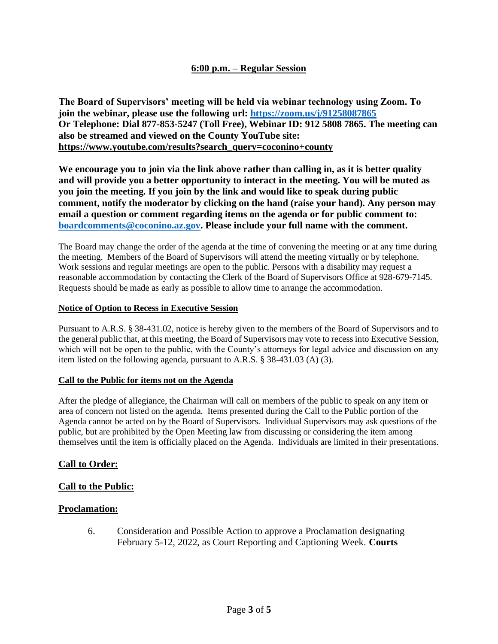### **6:00 p.m. – Regular Session**

**The Board of Supervisors' meeting will be held via webinar technology using Zoom. To join the webinar, please use the following url: https://zoom.us/j/91258087865 Or Telephone: Dial 877-853-5247 (Toll Free), Webinar ID: 912 5808 7865. The meeting can also be streamed and viewed on the County YouTube site: [https://www.youtube.com/results?search\\_query=coconino+county](https://www.youtube.com/results?search_query=coconino+county)**

**We encourage you to join via the link above rather than calling in, as it is better quality and will provide you a better opportunity to interact in the meeting. You will be muted as you join the meeting. If you join by the link and would like to speak during public comment, notify the moderator by clicking on the hand (raise your hand). Any person may email a question or comment regarding items on the agenda or for public comment to: [boardcomments@coconino.az.gov.](mailto:boardcomments@coconino.az.gov) Please include your full name with the comment.** 

The Board may change the order of the agenda at the time of convening the meeting or at any time during the meeting. Members of the Board of Supervisors will attend the meeting virtually or by telephone. Work sessions and regular meetings are open to the public. Persons with a disability may request a reasonable accommodation by contacting the Clerk of the Board of Supervisors Office at 928-679-7145. Requests should be made as early as possible to allow time to arrange the accommodation.

#### **Notice of Option to Recess in Executive Session**

Pursuant to A.R.S. § 38-431.02, notice is hereby given to the members of the Board of Supervisors and to the general public that, at this meeting, the Board of Supervisors may vote to recess into Executive Session, which will not be open to the public, with the County's attorneys for legal advice and discussion on any item listed on the following agenda, pursuant to A.R.S. § 38-431.03 (A) (3).

#### **Call to the Public for items not on the Agenda**

After the pledge of allegiance, the Chairman will call on members of the public to speak on any item or area of concern not listed on the agenda. Items presented during the Call to the Public portion of the Agenda cannot be acted on by the Board of Supervisors. Individual Supervisors may ask questions of the public, but are prohibited by the Open Meeting law from discussing or considering the item among themselves until the item is officially placed on the Agenda. Individuals are limited in their presentations.

#### **Call to Order:**

### **Call to the Public:**

### **Proclamation:**

6. Consideration and Possible Action to approve a Proclamation designating February 5-12, 2022, as Court Reporting and Captioning Week. **Courts**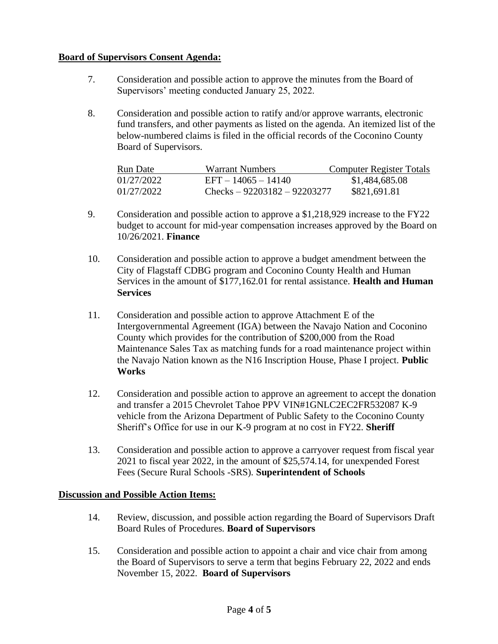### **Board of Supervisors Consent Agenda:**

- 7. Consideration and possible action to approve the minutes from the Board of Supervisors' meeting conducted January 25, 2022.
- 8. Consideration and possible action to ratify and/or approve warrants, electronic fund transfers, and other payments as listed on the agenda. An itemized list of the below-numbered claims is filed in the official records of the Coconino County Board of Supervisors.

| Run Date   | Warrant Numbers               | Computer Register Totals |
|------------|-------------------------------|--------------------------|
| 01/27/2022 | $EFT - 14065 - 14140$         | \$1,484,685.08           |
| 01/27/2022 | Checks $-92203182 - 92203277$ | \$821,691.81             |

- 9. Consideration and possible action to approve a \$1,218,929 increase to the FY22 budget to account for mid-year compensation increases approved by the Board on 10/26/2021. **Finance**
- 10. Consideration and possible action to approve a budget amendment between the City of Flagstaff CDBG program and Coconino County Health and Human Services in the amount of \$177,162.01 for rental assistance. **Health and Human Services**
- 11. Consideration and possible action to approve Attachment E of the Intergovernmental Agreement (IGA) between the Navajo Nation and Coconino County which provides for the contribution of \$200,000 from the Road Maintenance Sales Tax as matching funds for a road maintenance project within the Navajo Nation known as the N16 Inscription House, Phase I project. **Public Works**
- 12. Consideration and possible action to approve an agreement to accept the donation and transfer a 2015 Chevrolet Tahoe PPV VIN#1GNLC2EC2FR532087 K-9 vehicle from the Arizona Department of Public Safety to the Coconino County Sheriff's Office for use in our K-9 program at no cost in FY22. **Sheriff**
- 13. Consideration and possible action to approve a carryover request from fiscal year 2021 to fiscal year 2022, in the amount of \$25,574.14, for unexpended Forest Fees (Secure Rural Schools -SRS). **Superintendent of Schools**

#### **Discussion and Possible Action Items:**

- 14. Review, discussion, and possible action regarding the Board of Supervisors Draft Board Rules of Procedures. **Board of Supervisors**
- 15. Consideration and possible action to appoint a chair and vice chair from among the Board of Supervisors to serve a term that begins February 22, 2022 and ends November 15, 2022. **Board of Supervisors**